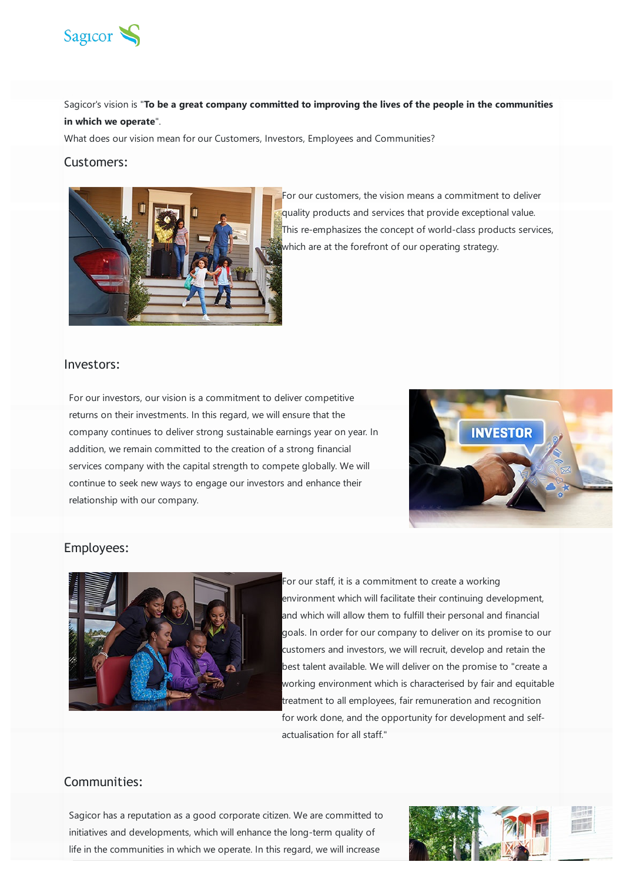

Sagicor's vision is "**To be a great company committed to improving the lives of the people in the communities in which we operate**".

What does our vision mean for our Customers, Investors, Employees and Communities?

## Customers:



For our customers, the vision means a commitment to deliver quality products and services that provide exceptional value. This re-emphasizes the concept of world-class products services, which are at the forefront of our operating strategy.

## Investors:

For our investors, our vision is a commitment to deliver competitive returns on their investments. In this regard, we will ensure that the company continues to deliver strong sustainable earnings year on year. In addition, we remain committed to the creation of a strong financial services company with the capital strength to compete globally. We will continue to seek new ways to engage our investors and enhance their relationship with our company.



## Employees:



For our staff, it is a commitment to create a working environment which will facilitate their continuing development, and which will allow them to fulfill their personal and financial goals. In order for our company to deliver on its promise to our customers and investors, we will recruit, develop and retain the best talent available. We will deliver on the promise to "create a working environment which is characterised by fair and equitable treatment to all employees, fair remuneration and recognition for work done, and the opportunity for development and selfactualisation for all staff."

## Communities:

Sagicor has a reputation as a good corporate citizen. We are committed to initiatives and developments, which will enhance the long-term quality of life in the communities in which we operate. In this regard, we will increase